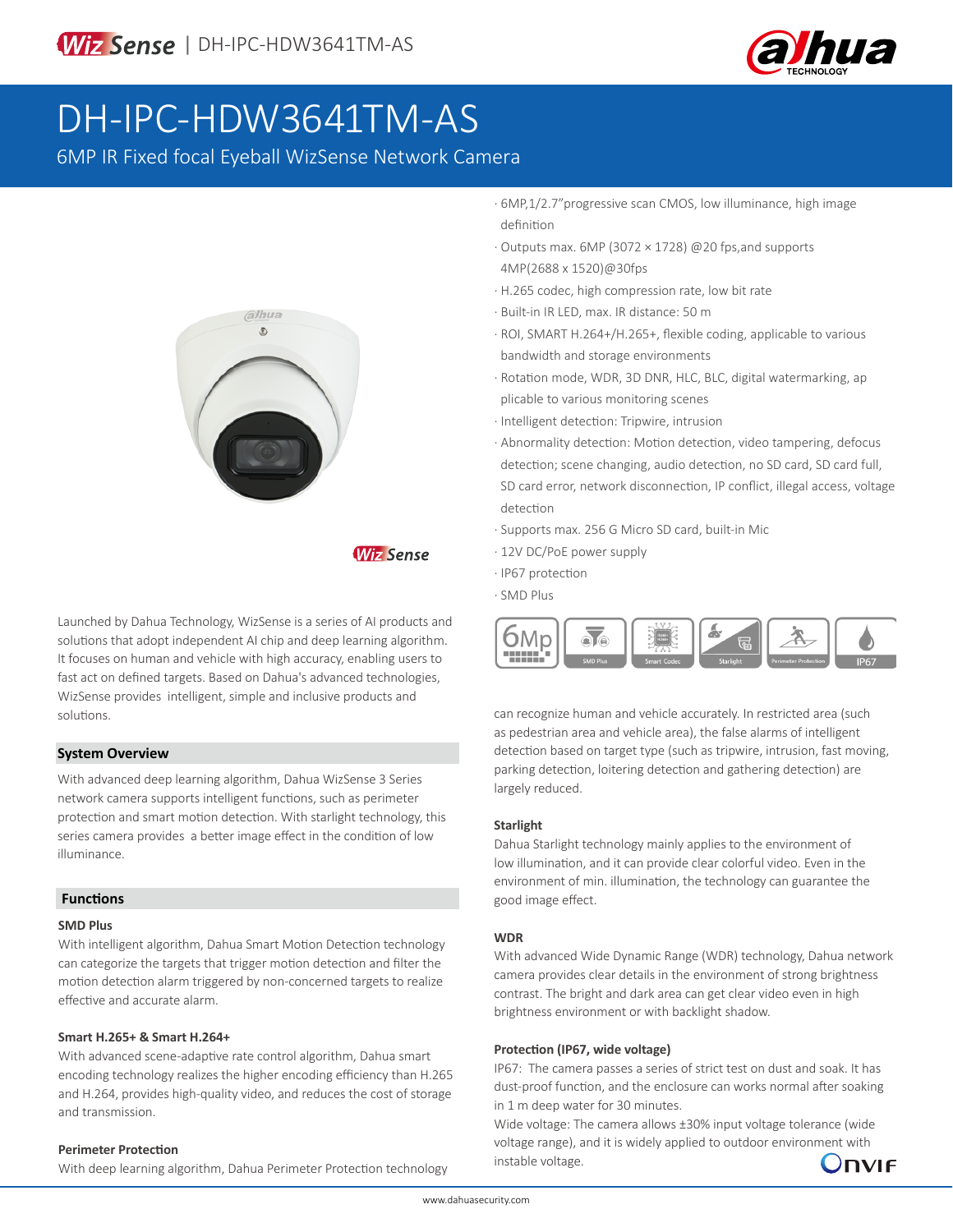

# DH-IPC-HDW3641TM-AS

6MP IR Fixed focal Eyeball WizSense Network Camera



# **Wiz Sense**

Launched by Dahua Technology, WizSense is a series of AI products and solutions that adopt independent AI chip and deep learning algorithm. It focuses on human and vehicle with high accuracy, enabling users to fast act on defined targets. Based on Dahua's advanced technologies, WizSense provides intelligent, simple and inclusive products and solutions.

### **System Overview**

With advanced deep learning algorithm, Dahua WizSense 3 Series network camera supports intelligent functions, such as perimeter protection and smart motion detection. With starlight technology, this series camera provides a better image effect in the condition of low illuminance.

#### **Functions**

#### **SMD Plus**

With intelligent algorithm, Dahua Smart Motion Detection technology can categorize the targets that trigger motion detection and filter the motion detection alarm triggered by non-concerned targets to realize effective and accurate alarm.

#### **Smart H.265+ & Smart H.264+**

With advanced scene-adaptive rate control algorithm, Dahua smart encoding technology realizes the higher encoding efficiency than H.265 and H.264, provides high-quality video, and reduces the cost of storage and transmission.

#### **Perimeter Protection**

With deep learning algorithm, Dahua Perimeter Protection technology

· 6MP,1/2.7"progressive scan CMOS, low illuminance, high image definition

- · Outputs max. 6MP (3072 × 1728) @20 fps,and supports 4MP(2688 x 1520)@30fps
- · H.265 codec, high compression rate, low bit rate
- · Built-in IR LED, max. IR distance: 50 m
- · ROI, SMART H.264+/H.265+, flexible coding, applicable to various bandwidth and storage environments
- · Rotation mode, WDR, 3D DNR, HLC, BLC, digital watermarking, ap plicable to various monitoring scenes
- · Intelligent detection: Tripwire, intrusion
- · Abnormality detection: Motion detection, video tampering, defocus detection; scene changing, audio detection, no SD card, SD card full, SD card error, network disconnection, IP conflict, illegal access, voltage detection
- · Supports max. 256 G Micro SD card, built-in Mic
- · 12V DC/PoE power supply
- · IP67 protection
- · SMD Plus



can recognize human and vehicle accurately. In restricted area (such as pedestrian area and vehicle area), the false alarms of intelligent detection based on target type (such as tripwire, intrusion, fast moving, parking detection, loitering detection and gathering detection) are largely reduced.

#### **Starlight**

Dahua Starlight technology mainly applies to the environment of low illumination, and it can provide clear colorful video. Even in the environment of min. illumination, the technology can guarantee the good image effect.

#### **WDR**

With advanced Wide Dynamic Range (WDR) technology, Dahua network camera provides clear details in the environment of strong brightness contrast. The bright and dark area can get clear video even in high brightness environment or with backlight shadow.

#### **Protection (IP67, wide voltage)**

IP67: The camera passes a series of strict test on dust and soak. It has dust-proof function, and the enclosure can works normal after soaking in 1 m deep water for 30 minutes.

Wide voltage: The camera allows ±30% input voltage tolerance (wide voltage range), and it is widely applied to outdoor environment with instable voltage.

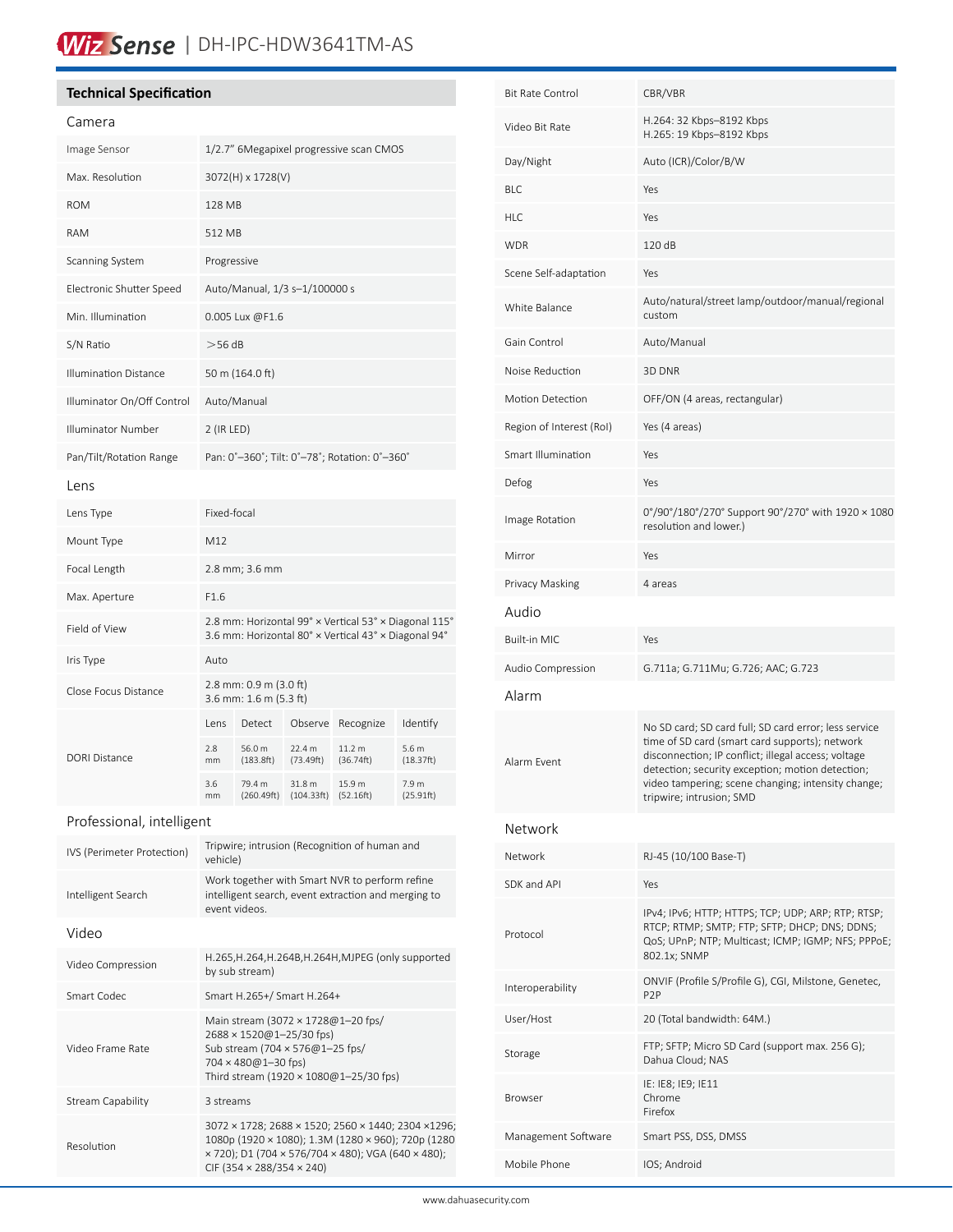# Wiz Sense | DH-IPC-HDW3641TM-AS

# **Technical Specification**

| Camera                       |                                         |                                                  |                                                             |                                                                                                               |                    |
|------------------------------|-----------------------------------------|--------------------------------------------------|-------------------------------------------------------------|---------------------------------------------------------------------------------------------------------------|--------------------|
| Image Sensor                 | 1/2.7" 6Megapixel progressive scan CMOS |                                                  |                                                             |                                                                                                               |                    |
| Max. Resolution              | 3072(H) x 1728(V)                       |                                                  |                                                             |                                                                                                               |                    |
| <b>ROM</b>                   | 128 MB                                  |                                                  |                                                             |                                                                                                               |                    |
| <b>RAM</b>                   | 512 MB                                  |                                                  |                                                             |                                                                                                               |                    |
| Scanning System              | Progressive                             |                                                  |                                                             |                                                                                                               |                    |
| Electronic Shutter Speed     | Auto/Manual, 1/3 s-1/100000 s           |                                                  |                                                             |                                                                                                               |                    |
| Min. Illumination            | 0.005 Lux @F1.6                         |                                                  |                                                             |                                                                                                               |                    |
| S/N Ratio                    | $>$ 56 dB                               |                                                  |                                                             |                                                                                                               |                    |
| <b>Illumination Distance</b> |                                         | 50 m (164.0 ft)                                  |                                                             |                                                                                                               |                    |
| Illuminator On/Off Control   |                                         | Auto/Manual                                      |                                                             |                                                                                                               |                    |
| Illuminator Number           | 2 (IR LED)                              |                                                  |                                                             |                                                                                                               |                    |
| Pan/Tilt/Rotation Range      |                                         | Pan: 0°-360°; Tilt: 0°-78°; Rotation: 0°-360°    |                                                             |                                                                                                               |                    |
| Lens                         |                                         |                                                  |                                                             |                                                                                                               |                    |
| Lens Type                    | Fixed-focal                             |                                                  |                                                             |                                                                                                               |                    |
| Mount Type                   | M12                                     |                                                  |                                                             |                                                                                                               |                    |
| Focal Length                 |                                         | 2.8 mm; 3.6 mm                                   |                                                             |                                                                                                               |                    |
| Max. Aperture                | F1.6                                    |                                                  |                                                             |                                                                                                               |                    |
| Field of View                |                                         |                                                  |                                                             | 2.8 mm: Horizontal 99° x Vertical 53° x Diagonal 115°<br>3.6 mm: Horizontal 80° × Vertical 43° × Diagonal 94° |                    |
| Iris Type                    | Auto                                    |                                                  |                                                             |                                                                                                               |                    |
| Close Focus Distance         |                                         | 2.8 mm: 0.9 m (3.0 ft)<br>3.6 mm: 1.6 m (5.3 ft) |                                                             |                                                                                                               |                    |
|                              | lens                                    | Detect                                           | Observe                                                     | Recognize                                                                                                     | Identify           |
| <b>DORI Distance</b>         | 2.8<br>mm                               | 56.0 m<br>(183.8ft)                              | 22.4 m<br>(73.49ft)                                         | 11.2 m<br>(36.74ft)                                                                                           | 5.6 m<br>(18.37ft) |
|                              | 3.6<br>mm                               | 79.4 m                                           | 31.8 m                                                      | 15.9 m                                                                                                        | 7.9 m              |
| Professional, intelligent    |                                         |                                                  |                                                             |                                                                                                               | (25.91ft)          |
|                              |                                         | (260.49ft)                                       | (104.33ft)                                                  | (52.16ft)                                                                                                     |                    |
| IVS (Perimeter Protection)   | vehicle)                                |                                                  |                                                             | Tripwire; intrusion (Recognition of human and                                                                 |                    |
| Intelligent Search           |                                         | event videos.                                    |                                                             | Work together with Smart NVR to perform refine<br>intelligent search, event extraction and merging to         |                    |
| Video                        |                                         |                                                  |                                                             |                                                                                                               |                    |
| Video Compression            |                                         | by sub stream)                                   |                                                             | H.265, H.264, H.264B, H.264H, MJPEG (only supported                                                           |                    |
| Smart Codec                  |                                         |                                                  | Smart H.265+/ Smart H.264+                                  |                                                                                                               |                    |
| Video Frame Rate             |                                         | 704 × 480@1-30 fps)                              | 2688 × 1520@1-25/30 fps)<br>Sub stream (704 × 576@1-25 fps/ | Main stream (3072 × 1728@1-20 fps/<br>Third stream (1920 × 1080@1-25/30 fps)                                  |                    |
| <b>Stream Capability</b>     | 3 streams                               |                                                  |                                                             |                                                                                                               |                    |

| <b>Bit Rate Control</b>  | CBR/VBR                                                                                                                                                                                                                                                                                              |  |
|--------------------------|------------------------------------------------------------------------------------------------------------------------------------------------------------------------------------------------------------------------------------------------------------------------------------------------------|--|
| Video Bit Rate           | H.264: 32 Kbps-8192 Kbps<br>H.265: 19 Kbps-8192 Kbps                                                                                                                                                                                                                                                 |  |
| Day/Night                | Auto (ICR)/Color/B/W                                                                                                                                                                                                                                                                                 |  |
| BI C                     | Yes                                                                                                                                                                                                                                                                                                  |  |
| HLC                      | Yes                                                                                                                                                                                                                                                                                                  |  |
| <b>WDR</b>               | 120dB                                                                                                                                                                                                                                                                                                |  |
| Scene Self-adaptation    | Yes                                                                                                                                                                                                                                                                                                  |  |
| White Balance            | Auto/natural/street lamp/outdoor/manual/regional<br>custom                                                                                                                                                                                                                                           |  |
| Gain Control             | Auto/Manual                                                                                                                                                                                                                                                                                          |  |
| Noise Reduction          | 3D DNR                                                                                                                                                                                                                                                                                               |  |
| Motion Detection         | OFF/ON (4 areas, rectangular)                                                                                                                                                                                                                                                                        |  |
| Region of Interest (RoI) | Yes (4 areas)                                                                                                                                                                                                                                                                                        |  |
| Smart Illumination       | Yes                                                                                                                                                                                                                                                                                                  |  |
| Defog                    | Yes                                                                                                                                                                                                                                                                                                  |  |
| Image Rotation           | 0°/90°/180°/270° Support 90°/270° with 1920 × 1080<br>resolution and lower.)                                                                                                                                                                                                                         |  |
| Mirror                   | Yes                                                                                                                                                                                                                                                                                                  |  |
| Privacy Masking          | 4 areas                                                                                                                                                                                                                                                                                              |  |
| Audio                    |                                                                                                                                                                                                                                                                                                      |  |
| <b>Built-in MIC</b>      | Yes                                                                                                                                                                                                                                                                                                  |  |
| Audio Compression        | G.711a; G.711Mu; G.726; AAC; G.723                                                                                                                                                                                                                                                                   |  |
| Alarm                    |                                                                                                                                                                                                                                                                                                      |  |
| Alarm Event              | No SD card; SD card full; SD card error; less service<br>time of SD card (smart card supports); network<br>disconnection; IP conflict; illegal access; voltage<br>detection; security exception; motion detection;<br>video tampering; scene changing; intensity change;<br>tripwire; intrusion; SMD |  |
| Network                  |                                                                                                                                                                                                                                                                                                      |  |
| Network                  | RJ-45 (10/100 Base-T)                                                                                                                                                                                                                                                                                |  |
| SDK and API              | Yes                                                                                                                                                                                                                                                                                                  |  |
| Protocol                 | IPv4; IPv6; HTTP; HTTPS; TCP; UDP; ARP; RTP; RTSP;<br>RTCP; RTMP; SMTP; FTP; SFTP; DHCP; DNS; DDNS;<br>QoS; UPnP; NTP; Multicast; ICMP; IGMP; NFS; PPPoE;<br>802.1x; SNMP                                                                                                                            |  |
| Interoperability         | ONVIF (Profile S/Profile G), CGI, Milstone, Genetec,<br>P <sub>2</sub> P                                                                                                                                                                                                                             |  |
| User/Host                | 20 (Total bandwidth: 64M.)                                                                                                                                                                                                                                                                           |  |
| Storage                  | FTP; SFTP; Micro SD Card (support max. 256 G);<br>Dahua Cloud; NAS                                                                                                                                                                                                                                   |  |
| <b>Browser</b>           | IE: IE8; IE9; IE11<br>Chrome<br>Firefox                                                                                                                                                                                                                                                              |  |
| Management Software      | Smart PSS, DSS, DMSS                                                                                                                                                                                                                                                                                 |  |
| Mobile Phone             | IOS; Android                                                                                                                                                                                                                                                                                         |  |